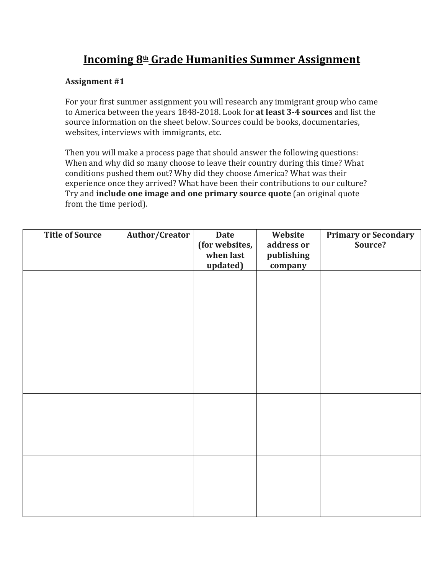## **Incoming 8th Grade Humanities Summer Assignment**

## **Assignment #1**

For your first summer assignment you will research any immigrant group who came to America between the years 1848-2018. Look for **at least 3-4 sources** and list the source information on the sheet below. Sources could be books, documentaries, websites, interviews with immigrants, etc.

Then you will make a process page that should answer the following questions: When and why did so many choose to leave their country during this time? What conditions pushed them out? Why did they choose America? What was their experience once they arrived? What have been their contributions to our culture? Try and **include one image and one primary source quote** (an original quote from the time period).

| <b>Title of Source</b> | Author/Creator | <b>Date</b><br>(for websites,<br>when last<br>updated) | Website<br>address or<br>publishing<br>company | <b>Primary or Secondary</b><br>Source? |
|------------------------|----------------|--------------------------------------------------------|------------------------------------------------|----------------------------------------|
|                        |                |                                                        |                                                |                                        |
|                        |                |                                                        |                                                |                                        |
|                        |                |                                                        |                                                |                                        |
|                        |                |                                                        |                                                |                                        |
|                        |                |                                                        |                                                |                                        |